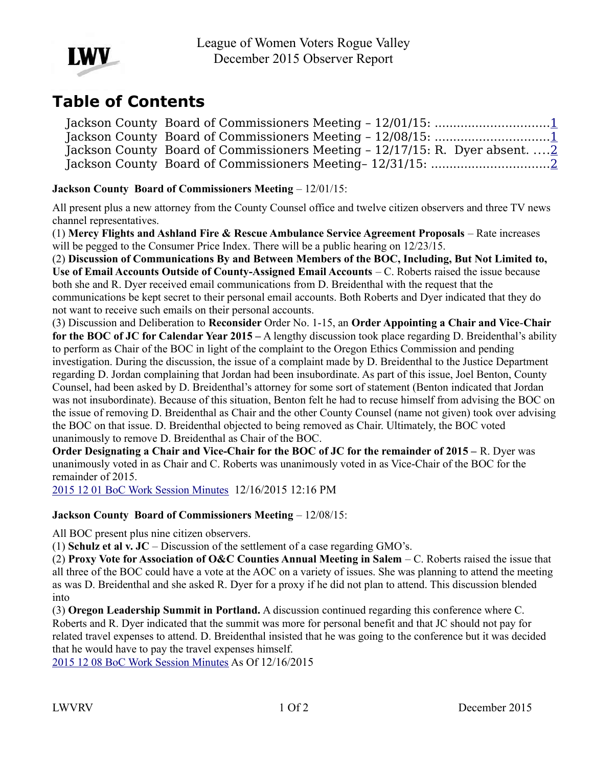

# **Table of Contents**

Jackson County Board of Commissioners Meeting – 12/01/15: ..............................[.1](#page-0-1) Jackson County Board of Commissioners Meeting - 12/08/15: ..................................[.1](#page-0-0) Jackson County Board of Commissioners Meeting – 12/17/15: R. Dyer absent. ...[.2](#page-1-1) Jackson County Board of Commissioners Meeting– 12/31/15: ...............................[.2](#page-1-0)

## <span id="page-0-1"></span>**Jackson County Board of Commissioners Meeting – 12/01/15:**

All present plus a new attorney from the County Counsel office and twelve citizen observers and three TV news channel representatives.

(1) **Mercy Flights and Ashland Fire & Rescue Ambulance Service Agreement Proposals** – Rate increases will be pegged to the Consumer Price Index. There will be a public hearing on  $12/23/15$ .

(2) **Discussion of Communications By and Between Members of the BOC, Including, But Not Limited to, Use of Email Accounts Outside of County-Assigned Email Accounts** – C. Roberts raised the issue because both she and R. Dyer received email communications from D. Breidenthal with the request that the communications be kept secret to their personal email accounts. Both Roberts and Dyer indicated that they do not want to receive such emails on their personal accounts.

(3) Discussion and Deliberation to **Reconsider** Order No. 1-15, an **Order Appointing a Chair and Vice**-**Chair for the BOC of JC for Calendar Year 2015 –** A lengthy discussion took place regarding D. Breidenthal's ability to perform as Chair of the BOC in light of the complaint to the Oregon Ethics Commission and pending investigation. During the discussion, the issue of a complaint made by D. Breidenthal to the Justice Department regarding D. Jordan complaining that Jordan had been insubordinate. As part of this issue, Joel Benton, County Counsel, had been asked by D. Breidenthal's attorney for some sort of statement (Benton indicated that Jordan was not insubordinate). Because of this situation, Benton felt he had to recuse himself from advising the BOC on the issue of removing D. Breidenthal as Chair and the other County Counsel (name not given) took over advising the BOC on that issue. D. Breidenthal objected to being removed as Chair. Ultimately, the BOC voted unanimously to remove D. Breidenthal as Chair of the BOC.

**Order Designating a Chair and Vice-Chair for the BOC of JC for the remainder of 2015 – R. Dyer was** unanimously voted in as Chair and C. Roberts was unanimously voted in as Vice-Chair of the BOC for the remainder of 2015.

[2015 12 01 BoC Work Session Minutes](http://jacksoncountyor.org/Board-of-Commissioners/Meeting-Archive?EntryId=39814&Command=Core_Download) 12/16/2015 12:16 PM

#### <span id="page-0-0"></span>**Jackson County Board of Commissioners Meeting – 12/08/15:**

All BOC present plus nine citizen observers.

(1) **Schulz et al v. JC** – Discussion of the settlement of a case regarding GMO's.

(2) **Proxy Vote for Association of O&C Counties Annual Meeting in Salem** – C. Roberts raised the issue that all three of the BOC could have a vote at the AOC on a variety of issues. She was planning to attend the meeting as was D. Breidenthal and she asked R. Dyer for a proxy if he did not plan to attend. This discussion blended into

(3) **Oregon Leadership Summit in Portland.** A discussion continued regarding this conference where C. Roberts and R. Dyer indicated that the summit was more for personal benefit and that JC should not pay for related travel expenses to attend. D. Breidenthal insisted that he was going to the conference but it was decided that he would have to pay the travel expenses himself.

[2015 12 08 BoC Work Session Minutes](http://jacksoncountyor.org/Board-of-Commissioners/Meeting-Archive?EntryId=39815&Command=Core_Download) As Of 12/16/2015